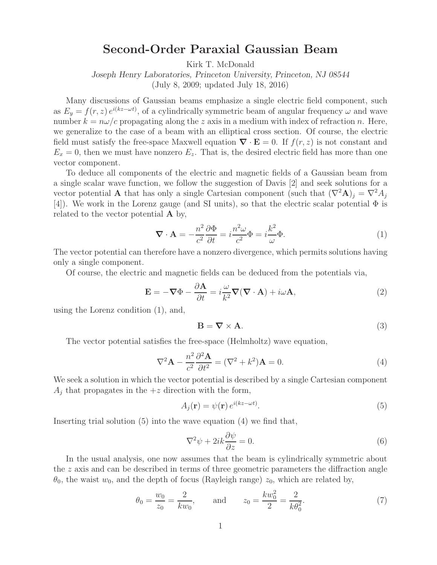## **Second-Order Paraxial Gaussian Beam**

Kirk T. McDonald

*Joseph Henry Laboratories, Princeton University, Princeton, NJ 08544* (July 8, 2009; updated July 18, 2016)

Many discussions of Gaussian beams emphasize a single electric field component, such as  $E_y = f(r, z) e^{i(kz - \omega t)}$ , of a cylindrically symmetric beam of angular frequency  $\omega$  and wave number  $k = n\omega/c$  propagating along the z axis in a medium with index of refraction n. Here, we generalize to the case of a beam with an elliptical cross section. Of course, the electric field must satisfy the free-space Maxwell equation  $\nabla \cdot \mathbf{E} = 0$ . If  $f(r, z)$  is not constant and  $E_x = 0$ , then we must have nonzero  $E_z$ . That is, the desired electric field has more than one vector component.

To deduce all components of the electric and magnetic fields of a Gaussian beam from a single scalar wave function, we follow the suggestion of Davis [2] and seek solutions for a vector potential **A** that has only a single Cartesian component (such that  $(\nabla^2 \mathbf{A})_j = \nabla^2 A_j$ [4]). We work in the Lorenz gauge (and SI units), so that the electric scalar potential Φ is related to the vector potential **A** by,

$$
\nabla \cdot \mathbf{A} = -\frac{n^2}{c^2} \frac{\partial \Phi}{\partial t} = i \frac{n^2 \omega}{c^2} \Phi = i \frac{k^2}{\omega} \Phi.
$$
 (1)

The vector potential can therefore have a nonzero divergence, which permits solutions having only a single component.

Of course, the electric and magnetic fields can be deduced from the potentials via,

$$
\mathbf{E} = -\nabla\Phi - \frac{\partial \mathbf{A}}{\partial t} = i\frac{\omega}{k^2}\nabla(\nabla \cdot \mathbf{A}) + i\omega\mathbf{A},
$$
\n(2)

using the Lorenz condition (1), and,

$$
\mathbf{B} = \nabla \times \mathbf{A}.\tag{3}
$$

The vector potential satisfies the free-space (Helmholtz) wave equation,

$$
\nabla^2 \mathbf{A} - \frac{n^2}{c^2} \frac{\partial^2 \mathbf{A}}{\partial t^2} = (\nabla^2 + k^2) \mathbf{A} = 0.
$$
 (4)

We seek a solution in which the vector potential is described by a single Cartesian component  $A_i$  that propagates in the  $+z$  direction with the form,

$$
A_j(\mathbf{r}) = \psi(\mathbf{r}) e^{i(kz - \omega t)}.
$$
\n(5)

Inserting trial solution (5) into the wave equation (4) we find that,

$$
\nabla^2 \psi + 2ik \frac{\partial \psi}{\partial z} = 0.
$$
 (6)

In the usual analysis, one now assumes that the beam is cylindrically symmetric about the z axis and can be described in terms of three geometric parameters the diffraction angle  $\theta_0$ , the waist  $w_0$ , and the depth of focus (Rayleigh range)  $z_0$ , which are related by,

$$
\theta_0 = \frac{w_0}{z_0} = \frac{2}{kw_0},
$$
 and  $z_0 = \frac{kw_0^2}{2} = \frac{2}{k\theta_0^2}.$  (7)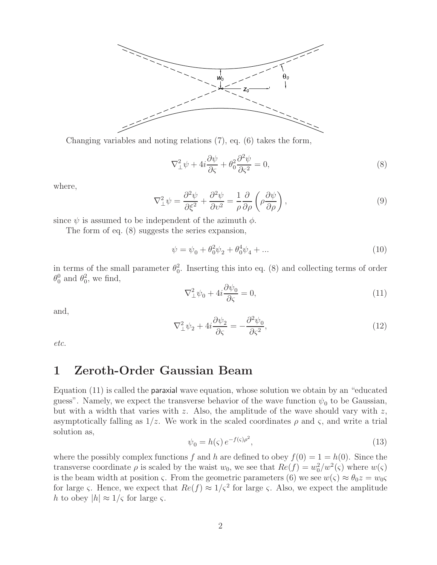

Changing variables and noting relations (7), eq. (6) takes the form,

$$
\nabla_{\perp}^{2} \psi + 4i \frac{\partial \psi}{\partial \varsigma} + \theta_0^2 \frac{\partial^2 \psi}{\partial \varsigma^2} = 0, \tag{8}
$$

where,

$$
\nabla_{\perp}^{2} \psi = \frac{\partial^{2} \psi}{\partial \xi^{2}} + \frac{\partial^{2} \psi}{\partial v^{2}} = \frac{1}{\rho} \frac{\partial}{\partial \rho} \left( \rho \frac{\partial \psi}{\partial \rho} \right), \tag{9}
$$

since  $\psi$  is assumed to be independent of the azimuth  $\phi$ .

The form of eq. (8) suggests the series expansion,

$$
\psi = \psi_0 + \theta_0^2 \psi_2 + \theta_0^4 \psi_4 + \dots \tag{10}
$$

in terms of the small parameter  $\theta_0^2$ . Inserting this into eq. (8) and collecting terms of order  $\theta_0^0$  and  $\theta_0^2$ , we find,

$$
\nabla_{\perp}^{2} \psi_0 + 4i \frac{\partial \psi_0}{\partial \varsigma} = 0, \tag{11}
$$

and,

$$
\nabla_{\perp}^{2} \psi_{2} + 4i \frac{\partial \psi_{2}}{\partial \varsigma} = -\frac{\partial^{2} \psi_{0}}{\partial \varsigma^{2}},\tag{12}
$$

*etc.*

#### **1 Zeroth-Order Gaussian Beam**

Equation (11) is called the paraxial wave equation, whose solution we obtain by an "educated guess". Namely, we expect the transverse behavior of the wave function  $\psi_0$  to be Gaussian, but with a width that varies with  $z$ . Also, the amplitude of the wave should vary with  $z$ , asymptotically falling as  $1/z$ . We work in the scaled coordinates  $\rho$  and  $\varsigma$ , and write a trial solution as,

$$
\psi_0 = h(\varsigma) e^{-f(\varsigma)\rho^2},\tag{13}
$$

where the possibly complex functions f and h are defined to obey  $f(0) = 1 = h(0)$ . Since the transverse coordinate  $\rho$  is scaled by the waist  $w_0$ , we see that  $Re(f) = w_0^2/w^2(\varsigma)$  where  $w(\varsigma)$ is the beam width at position  $\varsigma$ . From the geometric parameters (6) we see  $w(\varsigma) \approx \theta_0 z = w_0 \varsigma$ for large  $\varsigma$ . Hence, we expect that  $Re(f) \approx 1/\varsigma^2$  for large  $\varsigma$ . Also, we expect the amplitude h to obey  $|h| \approx 1/\varsigma$  for large  $\varsigma$ .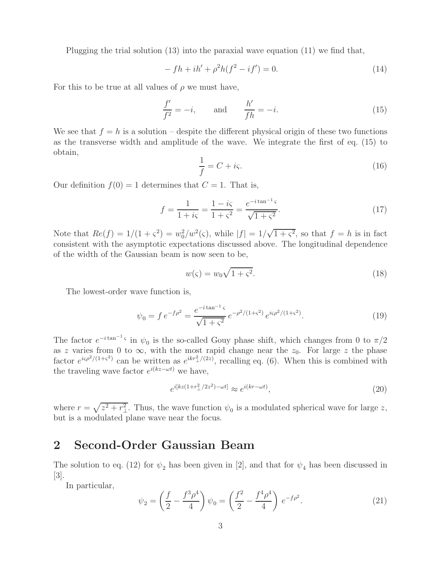Plugging the trial solution (13) into the paraxial wave equation (11) we find that,

$$
- f h + i h' + \rho^2 h (f^2 - i f') = 0.
$$
 (14)

For this to be true at all values of  $\rho$  we must have,

$$
\frac{f'}{f^2} = -i, \qquad \text{and} \qquad \frac{h'}{fh} = -i.
$$
 (15)

We see that  $f = h$  is a solution – despite the different physical origin of these two functions as the transverse width and amplitude of the wave. We integrate the first of eq. (15) to obtain,

$$
\frac{1}{f} = C + i\varsigma. \tag{16}
$$

Our definition  $f(0) = 1$  determines that  $C = 1$ . That is,

$$
f = \frac{1}{1 + i\varsigma} = \frac{1 - i\varsigma}{1 + \varsigma^2} = \frac{e^{-i\tan^{-1}\varsigma}}{\sqrt{1 + \varsigma^2}}.
$$
 (17)

Note that  $Re(f) = 1/(1 + \varsigma^2) = w_0^2/w^2(\varsigma)$ , while  $|f| = 1/\sqrt{1 + \varsigma^2}$ , so that  $f = h$  is in fact consistent with the asymptotic expectations discussed above. The longitudinal dependence of the width of the Gaussian beam is now seen to be,

$$
w(\varsigma) = w_0 \sqrt{1 + \varsigma^2}.\tag{18}
$$

The lowest-order wave function is,

$$
\psi_0 = f e^{-f\rho^2} = \frac{e^{-i\tan^{-1}\varsigma}}{\sqrt{1+\varsigma^2}} e^{-\rho^2/(1+\varsigma^2)} e^{i\varsigma\rho^2/(1+\varsigma^2)}.
$$
\n(19)

The factor  $e^{-i \tan^{-1} \varsigma}$  in  $\psi_0$  is the so-called Gouy phase shift, which changes from 0 to  $\pi/2$ as z varies from 0 to  $\infty$ , with the most rapid change near the  $z_0$ . For large z the phase factor  $e^{i\varsigma\rho^2/(1+\varsigma^2)}$  can be written as  $e^{ikr^2/(2z)}$ , recalling eq. (6). When this is combined with the traveling wave factor  $e^{i(kz-\omega t)}$  we have,

$$
e^{i[kz(1+r_\perp^2/2z^2)-\omega t]} \approx e^{i(kr-\omega t)},\tag{20}
$$

where  $r = \sqrt{z^2 + r_\perp^2}$ . Thus, the wave function  $\psi_0$  is a modulated spherical wave for large z, but is a modulated plane wave near the focus.

### **2 Second-Order Gaussian Beam**

The solution to eq. (12) for  $\psi_2$  has been given in [2], and that for  $\psi_4$  has been discussed in [3].

In particular,

$$
\psi_2 = \left(\frac{f}{2} - \frac{f^3 \rho^4}{4}\right) \psi_0 = \left(\frac{f^2}{2} - \frac{f^4 \rho^4}{4}\right) e^{-f\rho^2}.
$$
\n(21)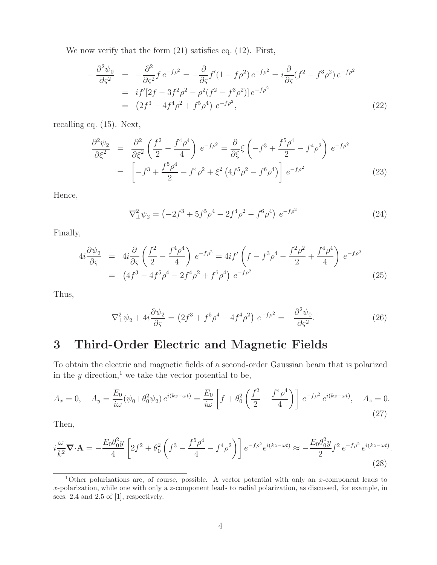We now verify that the form (21) satisfies eq. (12). First,

$$
-\frac{\partial^2 \psi_0}{\partial \zeta^2} = -\frac{\partial^2}{\partial \zeta^2} f e^{-f\rho^2} = -\frac{\partial}{\partial \zeta} f'(1 - f\rho^2) e^{-f\rho^2} = i \frac{\partial}{\partial \zeta} (f^2 - f^3 \rho^2) e^{-f\rho^2}
$$
  
=  $if'[2f - 3f^2\rho^2 - \rho^2(f^2 - f^3\rho^2)] e^{-f\rho^2}$   
=  $(2f^3 - 4f^4\rho^2 + f^5\rho^4) e^{-f\rho^2},$  (22)

recalling eq. (15). Next,

$$
\frac{\partial^2 \psi_2}{\partial \xi^2} = \frac{\partial^2}{\partial \xi^2} \left( \frac{f^2}{2} - \frac{f^4 \rho^4}{4} \right) e^{-f \rho^2} = \frac{\partial}{\partial \xi} \xi \left( -f^3 + \frac{f^5 \rho^4}{2} - f^4 \rho^2 \right) e^{-f \rho^2}
$$

$$
= \left[ -f^3 + \frac{f^5 \rho^4}{2} - f^4 \rho^2 + \xi^2 \left( 4f^5 \rho^2 - f^6 \rho^4 \right) \right] e^{-f \rho^2}
$$
(23)

Hence,

$$
\nabla_{\perp}^{2} \psi_{2} = \left( -2f^{3} + 5f^{5}\rho^{4} - 2f^{4}\rho^{2} - f^{6}\rho^{4} \right) e^{-f\rho^{2}}
$$
\n(24)

Finally,

$$
4i\frac{\partial\psi_2}{\partial\zeta} = 4i\frac{\partial}{\partial\zeta} \left(\frac{f^2}{2} - \frac{f^4\rho^4}{4}\right) e^{-f\rho^2} = 4if' \left(f - f^3\rho^4 - \frac{f^2\rho^2}{2} + \frac{f^4\rho^4}{4}\right) e^{-f\rho^2}
$$
  
= 
$$
(4f^3 - 4f^5\rho^4 - 2f^4\rho^2 + f^6\rho^4) e^{-f\rho^2}
$$
(25)

Thus,

$$
\nabla_{\perp}^{2} \psi_{2} + 4i \frac{\partial \psi_{2}}{\partial \varsigma} = \left( 2f^{3} + f^{5}\rho^{4} - 4f^{4}\rho^{2} \right) e^{-f\rho^{2}} = -\frac{\partial^{2} \psi_{0}}{\partial \varsigma^{2}}.
$$
\n(26)

# **3 Third-Order Electric and Magnetic Fields**

To obtain the electric and magnetic fields of a second-order Gaussian beam that is polarized in the  $y$  direction,<sup>1</sup> we take the vector potential to be,

$$
A_x = 0, \quad A_y = \frac{E_0}{i\omega} (\psi_0 + \theta_0^2 \psi_2) e^{i(kz - \omega t)} = \frac{E_0}{i\omega} \left[ f + \theta_0^2 \left( \frac{f^2}{2} - \frac{f^4 \rho^4}{4} \right) \right] e^{-f\rho^2} e^{i(kz - \omega t)}, \quad A_z = 0.
$$
\n(27)

Then,

$$
i\frac{\omega}{k^2}\nabla \cdot \mathbf{A} = -\frac{E_0 \theta_0^2 y}{4} \left[ 2f^2 + \theta_0^2 \left( f^3 - \frac{f^5 \rho^4}{4} - f^4 \rho^2 \right) \right] e^{-f\rho^2} e^{i(kz - \omega t)} \approx -\frac{E_0 \theta_0^2 y}{2} f^2 e^{-f\rho^2} e^{i(kz - \omega t)}.
$$
\n(28)

<sup>1</sup>Other polarizations are, of course, possible. A vector potential with only an *x*-component leads to *x*-polarization, while one with only a *z*-component leads to radial polarization, as discussed, for example, in secs. 2.4 and 2.5 of [1], respectively.